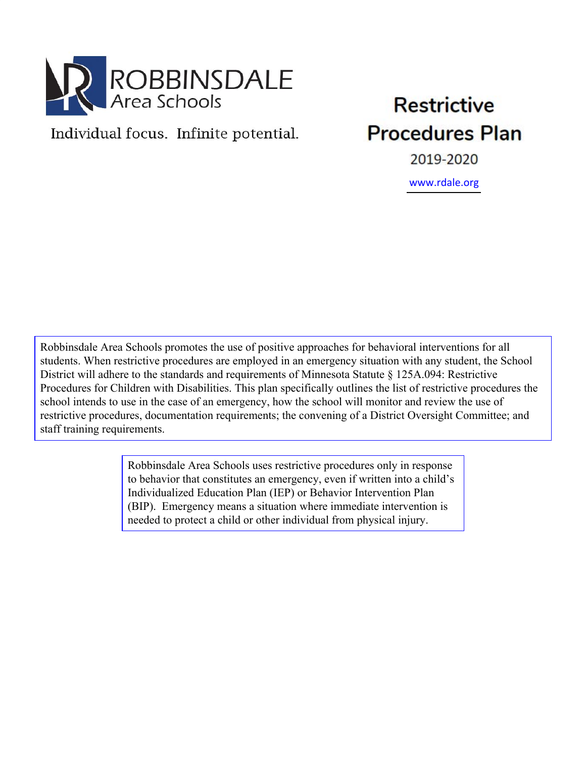

# Individual focus. Infinite potential.

# **Restrictive Procedures Plan**

2019-2020

<www.rdale.org>

Robbinsdale Area Schools promotes the use of positive approaches for behavioral interventions for all students. When restrictive procedures are employed in an emergency situation with any student, the School District will adhere to the standards and requirements of Minnesota Statute § 125A.094: Restrictive Procedures for Children with Disabilities. This plan specifically outlines the list of restrictive procedures the school intends to use in the case of an emergency, how the school will monitor and review the use of restrictive procedures, documentation requirements; the convening of a District Oversight Committee; and staff training requirements.

> Robbinsdale Area Schools uses restrictive procedures only in response to behavior that constitutes an emergency, even if written into a child's Individualized Education Plan (IEP) or Behavior Intervention Plan (BIP). Emergency means a situation where immediate intervention is needed to protect a child or other individual from physical injury.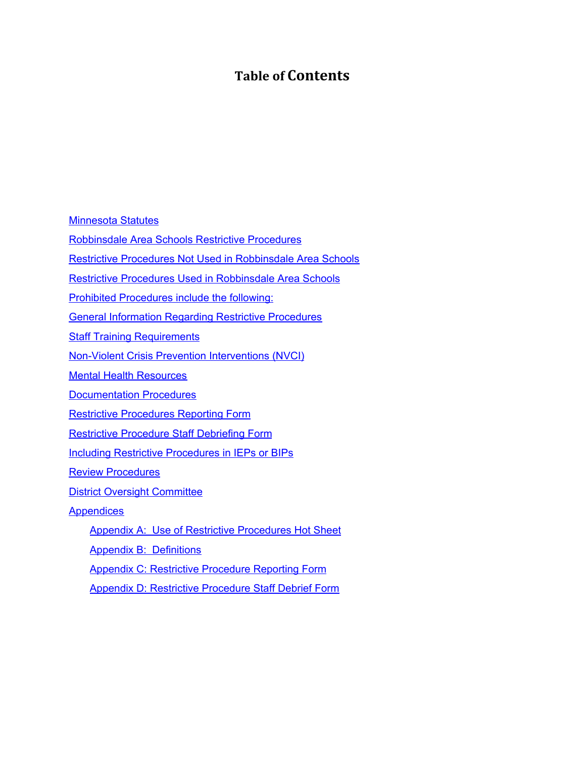## **Table of Contents**

**[Minnesota](#page-2-0) Statutes** 

[Robbinsdale](#page-4-0) Area Schools Restrictive Procedures

Restrictive Procedures Not Used in [Robbinsdale](#page-4-1) Area Schools

Restrictive Procedures Used in [Robbinsdale](#page-4-2) Area Schools

Prohibited [Procedures](#page-5-0) include the following:

General Information Regarding Restrictive [Procedures](#page-5-1)

**Staff Training [Requirements](#page-6-0)** 

Non-Violent Crisis Prevention [Interventions](#page-6-1) (NVCI)

Mental Health [Resources](#page-6-2)

**[Documentation](#page-7-0) Procedures** 

Restrictive [Procedures](#page-7-1) Reporting Form

[Restrictive](#page-8-0) Procedure Staff Debriefing Form

**Including Restrictive [Procedures](#page-8-1) in IEPs or BIPs** 

Review [Procedures](#page-8-2)

District Oversight [Committee](#page-9-0)

**Appendices** 

Appendix A: Use of Restrictive [Procedures](#page-10-0) Hot Sheet

Appendix B: [Definitions](#page-11-0)

Appendix C: [Restrictive](https://docs.google.com/document/d/1Gpe_11qw9yziwa2l1doMz01YxIUHbDs6BUY9Kxr_Qs8/edit#heading=h.3j2qqm3) Procedure Reporting Form

Appendix D: [Restrictive](https://docs.google.com/document/d/1Gpe_11qw9yziwa2l1doMz01YxIUHbDs6BUY9Kxr_Qs8/edit#heading=h.4f1mdlm) Procedure Staff Debrief Form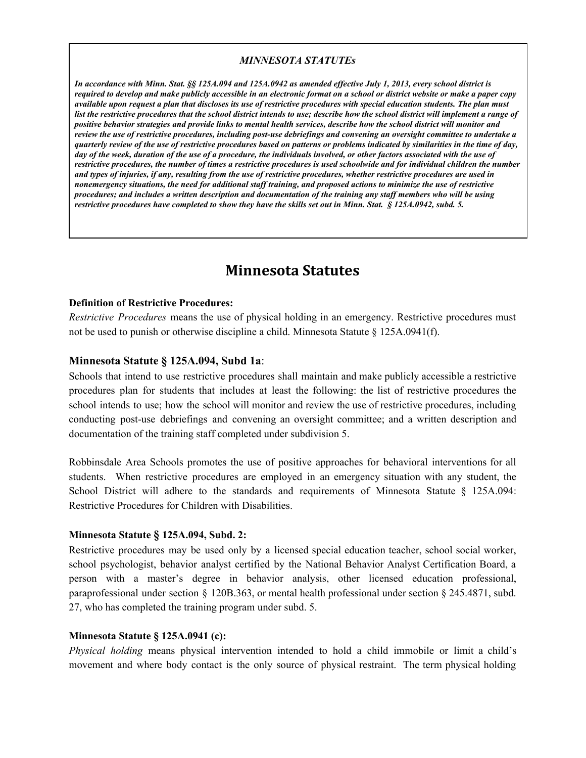#### *MINNESOTA STATUTEs*

*In accordance with Minn. Stat. §§ 125A.094 and 125A.0942 as amended effective July 1, 2013, every school district is required to develop and make publicly accessible in an electronic format on a school or district website or make a paper copy available upon request a plan that discloses its use of restrictive procedures with special education students. The plan must list the restrictive procedures that the school district intends to use; describe how the school district will implement a range of positive behavior strategies and provide links to mental health services, describe how the school district will monitor and review the use of restrictive procedures, including post-use debriefings and convening an oversight committee to undertake a quarterly review of the use of restrictive procedures based on patterns or problems indicated by similarities in the time of day, day of the week, duration of the use of a procedure, the individuals involved, or other factors associated with the use of restrictive procedures, the number of times a restrictive procedures is used schoolwide and for individual children the number and types of injuries, if any, resulting from the use of restrictive procedures, whether restrictive procedures are used in nonemergency situations, the need for additional staff training, and proposed actions to minimize the use of restrictive procedures; and includes a written description and documentation of the training any staff members who will be using restrictive procedures have completed to show they have the skills set out in Minn. Stat. § 125A.0942, subd. 5.*

## **Minnesota Statutes**

#### <span id="page-2-0"></span>**Definition of Restrictive Procedures:**

*Restrictive Procedures* means the use of physical holding in an emergency. Restrictive procedures must not be used to punish or otherwise discipline a child. Minnesota Statute § 125A.0941(f).

#### **Minnesota Statute § 125A.094, Subd 1a**:

Schools that intend to use restrictive procedures shall maintain and make publicly accessible a restrictive procedures plan for students that includes at least the following: the list of restrictive procedures the school intends to use; how the school will monitor and review the use of restrictive procedures, including conducting post-use debriefings and convening an oversight committee; and a written description and documentation of the training staff completed under subdivision 5.

Robbinsdale Area Schools promotes the use of positive approaches for behavioral interventions for all students. When restrictive procedures are employed in an emergency situation with any student, the School District will adhere to the standards and requirements of Minnesota Statute § 125A.094: Restrictive Procedures for Children with Disabilities.

#### **Minnesota Statute § 125A.094, Subd. 2:**

Restrictive procedures may be used only by a licensed special education teacher, school social worker, school psychologist, behavior analyst certified by the National Behavior Analyst Certification Board, a person with a master's degree in behavior analysis, other licensed education professional, paraprofessional under section  $\S$  120B.363, or mental health professional under section  $\S$  245.4871, subd. 27, who has completed the training program under subd. 5.

#### **Minnesota Statute § 125A.0941 (c):**

*Physical holding* means physical intervention intended to hold a child immobile or limit a child's movement and where body contact is the only source of physical restraint. The term physical holding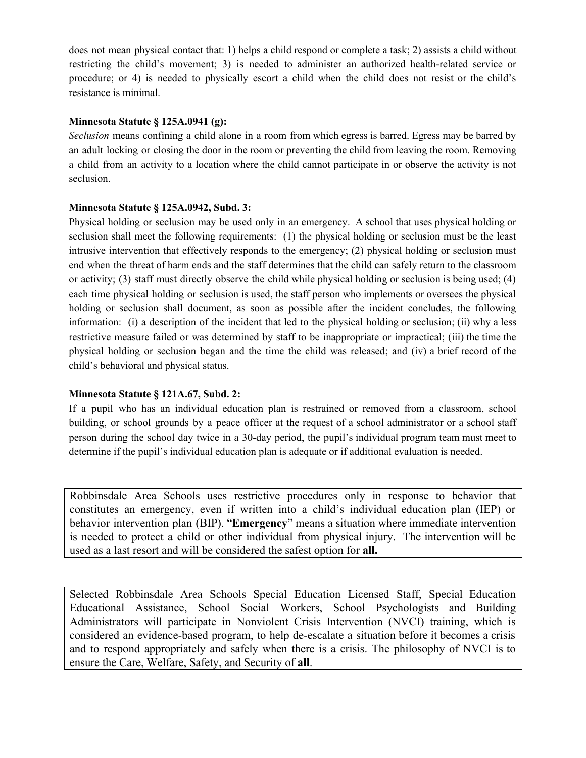does not mean physical contact that: 1) helps a child respond or complete a task; 2) assists a child without restricting the child's movement; 3) is needed to administer an authorized health-related service or procedure; or 4) is needed to physically escort a child when the child does not resist or the child's resistance is minimal.

## **Minnesota Statute § 125A.0941 (g):**

*Seclusion* means confining a child alone in a room from which egress is barred. Egress may be barred by an adult locking or closing the door in the room or preventing the child from leaving the room. Removing a child from an activity to a location where the child cannot participate in or observe the activity is not seclusion.

#### **Minnesota Statute § 125A.0942, Subd. 3:**

Physical holding or seclusion may be used only in an emergency. A school that uses physical holding or seclusion shall meet the following requirements: (1) the physical holding or seclusion must be the least intrusive intervention that effectively responds to the emergency; (2) physical holding or seclusion must end when the threat of harm ends and the staff determines that the child can safely return to the classroom or activity; (3) staff must directly observe the child while physical holding or seclusion is being used; (4) each time physical holding or seclusion is used, the staff person who implements or oversees the physical holding or seclusion shall document, as soon as possible after the incident concludes, the following information: (i) a description of the incident that led to the physical holding or seclusion; (ii) why a less restrictive measure failed or was determined by staff to be inappropriate or impractical; (iii) the time the physical holding or seclusion began and the time the child was released; and (iv) a brief record of the child's behavioral and physical status.

## **Minnesota Statute § 121A.67, Subd. 2:**

If a pupil who has an individual education plan is restrained or removed from a classroom, school building, or school grounds by a peace officer at the request of a school administrator or a school staff person during the school day twice in a 30-day period, the pupil's individual program team must meet to determine if the pupil's individual education plan is adequate or if additional evaluation is needed.

Robbinsdale Area Schools uses restrictive procedures only in response to behavior that constitutes an emergency, even if written into a child's individual education plan (IEP) or behavior intervention plan (BIP). "**Emergency**" means a situation where immediate intervention is needed to protect a child or other individual from physical injury. The intervention will be used as a last resort and will be considered the safest option for **all.**

Selected Robbinsdale Area Schools Special Education Licensed Staff, Special Education Educational Assistance, School Social Workers, School Psychologists and Building Administrators will participate in Nonviolent Crisis Intervention (NVCI) training, which is considered an evidence-based program, to help de-escalate a situation before it becomes a crisis and to respond appropriately and safely when there is a crisis. The philosophy of NVCI is to ensure the Care, Welfare, Safety, and Security of **all**.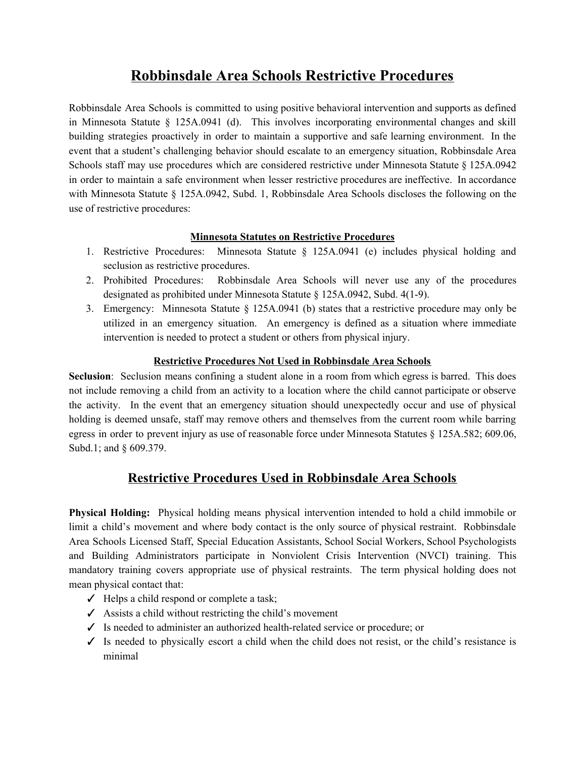## **Robbinsdale Area Schools Restrictive Procedures**

<span id="page-4-0"></span>Robbinsdale Area Schools is committed to using positive behavioral intervention and supports as defined in Minnesota Statute § 125A.0941 (d). This involves incorporating environmental changes and skill building strategies proactively in order to maintain a supportive and safe learning environment. In the event that a student's challenging behavior should escalate to an emergency situation, Robbinsdale Area Schools staff may use procedures which are considered restrictive under Minnesota Statute § 125A.0942 in order to maintain a safe environment when lesser restrictive procedures are ineffective. In accordance with Minnesota Statute § 125A.0942, Subd. 1, Robbinsdale Area Schools discloses the following on the use of restrictive procedures:

## **Minnesota Statutes on Restrictive Procedures**

- 1. Restrictive Procedures: Minnesota Statute § 125A.0941 (e) includes physical holding and seclusion as restrictive procedures.
- 2. Prohibited Procedures: Robbinsdale Area Schools will never use any of the procedures designated as prohibited under Minnesota Statute § 125A.0942, Subd. 4(1-9).
- 3. Emergency: Minnesota Statute § 125A.0941 (b) states that a restrictive procedure may only be utilized in an emergency situation. An emergency is defined as a situation where immediate intervention is needed to protect a student or others from physical injury.

## **Restrictive Procedures Not Used in Robbinsdale Area Schools**

<span id="page-4-1"></span>**Seclusion**: Seclusion means confining a student alone in a room from which egress is barred. This does not include removing a child from an activity to a location where the child cannot participate or observe the activity. In the event that an emergency situation should unexpectedly occur and use of physical holding is deemed unsafe, staff may remove others and themselves from the current room while barring egress in order to prevent injury as use of reasonable force under Minnesota Statutes § 125A.582; 609.06, Subd.1; and § 609.379.

## **Restrictive Procedures Used in Robbinsdale Area Schools**

<span id="page-4-2"></span>**Physical Holding:** Physical holding means physical intervention intended to hold a child immobile or limit a child's movement and where body contact is the only source of physical restraint. Robbinsdale Area Schools Licensed Staff, Special Education Assistants, School Social Workers, School Psychologists and Building Administrators participate in Nonviolent Crisis Intervention (NVCI) training. This mandatory training covers appropriate use of physical restraints. The term physical holding does not mean physical contact that:

- $\checkmark$  Helps a child respond or complete a task;
- $\checkmark$  Assists a child without restricting the child's movement
- ✓ Is needed to administer an authorized health-related service or procedure; or
- ✓ Is needed to physically escort a child when the child does not resist, or the child's resistance is minimal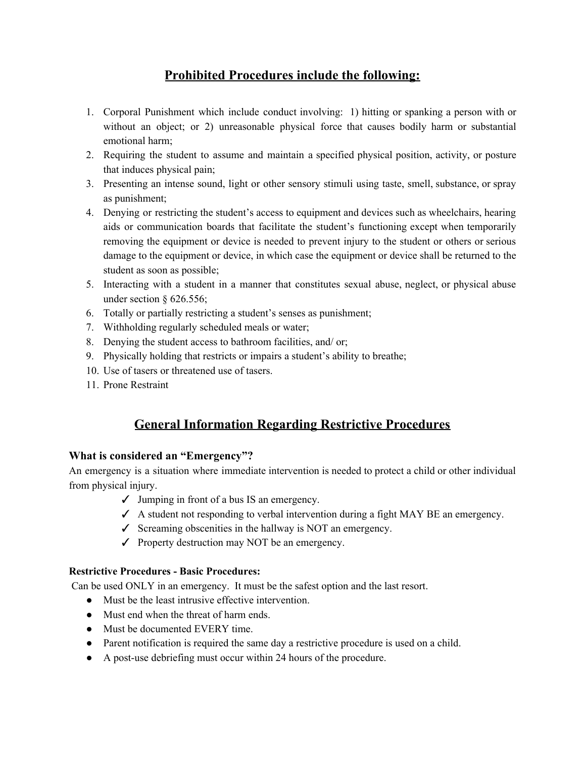## **Prohibited Procedures include the following:**

- <span id="page-5-0"></span>1. Corporal Punishment which include conduct involving: 1) hitting or spanking a person with or without an object; or 2) unreasonable physical force that causes bodily harm or substantial emotional harm;
- 2. Requiring the student to assume and maintain a specified physical position, activity, or posture that induces physical pain;
- 3. Presenting an intense sound, light or other sensory stimuli using taste, smell, substance, or spray as punishment;
- 4. Denying or restricting the student's access to equipment and devices such as wheelchairs, hearing aids or communication boards that facilitate the student's functioning except when temporarily removing the equipment or device is needed to prevent injury to the student or others or serious damage to the equipment or device, in which case the equipment or device shall be returned to the student as soon as possible;
- 5. Interacting with a student in a manner that constitutes sexual abuse, neglect, or physical abuse under section  $§$  626.556;
- 6. Totally or partially restricting a student's senses as punishment;
- 7. Withholding regularly scheduled meals or water;
- 8. Denying the student access to bathroom facilities, and/ or;
- 9. Physically holding that restricts or impairs a student's ability to breathe;
- 10. Use of tasers or threatened use of tasers.
- <span id="page-5-1"></span>11. Prone Restraint

## **General Information Regarding Restrictive Procedures**

## **What is considered an "Emergency"?**

An emergency is a situation where immediate intervention is needed to protect a child or other individual from physical injury.

- $\checkmark$  Jumping in front of a bus IS an emergency.
- $\checkmark$  A student not responding to verbal intervention during a fight MAY BE an emergency.
- $\checkmark$  Screaming obscenities in the hallway is NOT an emergency.
- $\checkmark$  Property destruction may NOT be an emergency.

## **Restrictive Procedures - Basic Procedures:**

Can be used ONLY in an emergency. It must be the safest option and the last resort.

- Must be the least intrusive effective intervention.
- Must end when the threat of harm ends.
- Must be documented EVERY time.
- Parent notification is required the same day a restrictive procedure is used on a child.
- A post-use debriefing must occur within 24 hours of the procedure.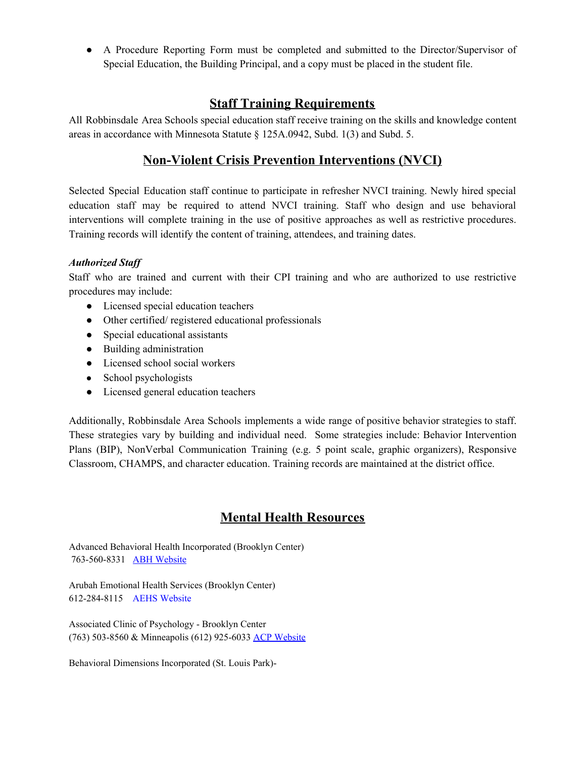<span id="page-6-0"></span>● A Procedure Reporting Form must be completed and submitted to the Director/Supervisor of Special Education, the Building Principal, and a copy must be placed in the student file.

## **Staff Training Requirements**

<span id="page-6-1"></span>All Robbinsdale Area Schools special education staff receive training on the skills and knowledge content areas in accordance with Minnesota Statute § 125A.0942, Subd. 1(3) and Subd. 5.

## **Non-Violent Crisis Prevention Interventions (NVCI)**

Selected Special Education staff continue to participate in refresher NVCI training. Newly hired special education staff may be required to attend NVCI training. Staff who design and use behavioral interventions will complete training in the use of positive approaches as well as restrictive procedures. Training records will identify the content of training, attendees, and training dates.

## *Authorized Staff*

Staff who are trained and current with their CPI training and who are authorized to use restrictive procedures may include:

- Licensed special education teachers
- Other certified/ registered educational professionals
- Special educational assistants
- Building administration
- Licensed school social workers
- **●** School psychologists
- Licensed general education teachers

Additionally, Robbinsdale Area Schools implements a wide range of positive behavior strategies to staff. These strategies vary by building and individual need. Some strategies include: Behavior Intervention Plans (BIP), NonVerbal Communication Training (e.g. 5 point scale, graphic organizers), Responsive Classroom, CHAMPS, and character education. Training records are maintained at the district office.

## **Mental Health Resources**

<span id="page-6-2"></span>Advanced Behavioral Health Incorporated (Brooklyn Center) 763-560-8331 [ABH Website](http://www.abhtherapy.com/?page_id=19)

Arubah Emotional Health Services (Brooklyn Center) 612-284-8115 [AEHS Website](http://www.arubahemotionalhealth.com/)

Associated Clinic of Psychology - Brooklyn Center (763) 503-8560 & Minneapolis (612) 925-6033 [ACP Website](http://www.acp-mn.com/)

Behavioral Dimensions Incorporated (St. Louis Park)-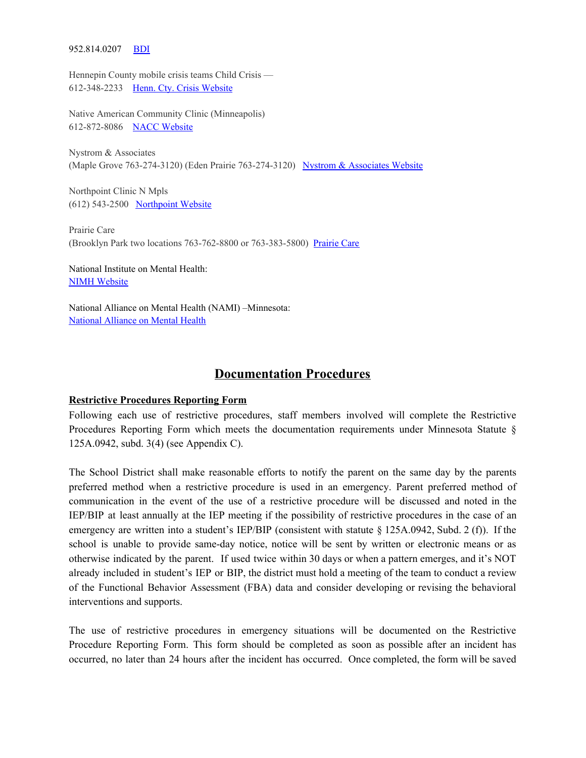#### 952.814.0207 [BDI](http://behavioraldimensions.com/)

Hennepin County mobile crisis teams Child Crisis — 612-348-2233 [Henn. Cty. Crisis Website](https://www.hennepin.us/residents/health-medical/childrens-mental-health-services)

Native American Community Clinic (Minneapolis) 612-872-8086 [NACC Website](https://nacc-healthcare.org/)

Nystrom & Associates (Maple Grove 763-274-3120) (Eden Prairie 763-274-3120) [Nystrom & Associates Website](https://www.nystromcounseling.com/)

Northpoint Clinic N Mpls (612) 543-2500 [Northpoint Website](https://www.northpointhealth.org/)

Prairie Care (Brooklyn Park two locations 763-762-8800 or 763-383-5800) [Prairie Care](https://www.prairie-care.com/locations/brooklyn-park/)

National Institute on Mental Health: [NIMH Website](https://www.nimh.nih.gov/index.shtml)

National Alliance on Mental Health (NAMI) –Minnesota: [National Alliance on Mental Health](https://namimn.org/)

## **Documentation Procedures**

#### <span id="page-7-1"></span><span id="page-7-0"></span>**Restrictive Procedures Reporting Form**

Following each use of restrictive procedures, staff members involved will complete the Restrictive Procedures Reporting Form which meets the documentation requirements under Minnesota Statute § 125A.0942, subd. 3(4) (see Appendix C).

The School District shall make reasonable efforts to notify the parent on the same day by the parents preferred method when a restrictive procedure is used in an emergency. Parent preferred method of communication in the event of the use of a restrictive procedure will be discussed and noted in the IEP/BIP at least annually at the IEP meeting if the possibility of restrictive procedures in the case of an emergency are written into a student's IEP/BIP (consistent with statute § 125A.0942, Subd. 2 (f)). If the school is unable to provide same-day notice, notice will be sent by written or electronic means or as otherwise indicated by the parent. If used twice within 30 days or when a pattern emerges, and it's NOT already included in student's IEP or BIP, the district must hold a meeting of the team to conduct a review of the Functional Behavior Assessment (FBA) data and consider developing or revising the behavioral interventions and supports.

The use of restrictive procedures in emergency situations will be documented on the Restrictive Procedure Reporting Form. This form should be completed as soon as possible after an incident has occurred, no later than 24 hours after the incident has occurred. Once completed, the form will be saved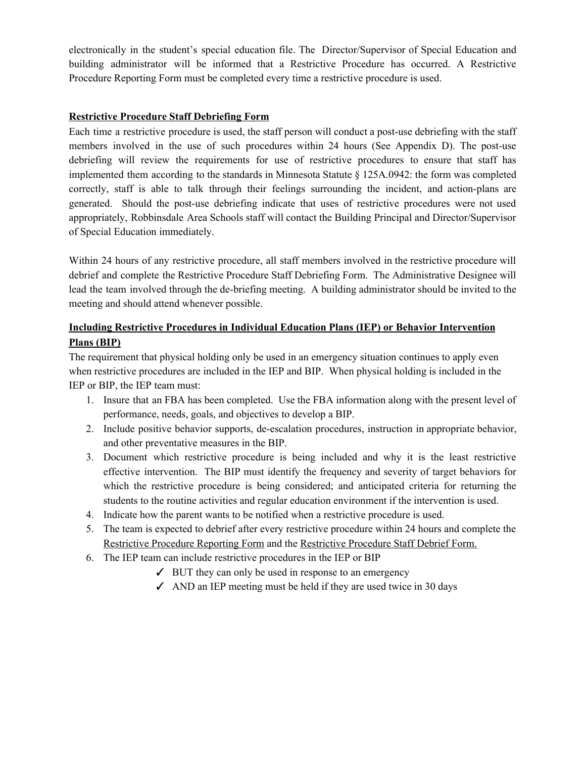electronically in the student's special education file. The Director/Supervisor of Special Education and building administrator will be informed that a Restrictive Procedure has occurred. A Restrictive Procedure Reporting Form must be completed every time a restrictive procedure is used.

## <span id="page-8-0"></span>**Restrictive Procedure Staff Debriefing Form**

Each time a restrictive procedure is used, the staff person will conduct a post-use debriefing with the staff members involved in the use of such procedures within 24 hours (See Appendix D). The post-use debriefing will review the requirements for use of restrictive procedures to ensure that staff has implemented them according to the standards in Minnesota Statute § 125A.0942: the form was completed correctly, staff is able to talk through their feelings surrounding the incident, and action-plans are generated. Should the post-use debriefing indicate that uses of restrictive procedures were not used appropriately, Robbinsdale Area Schools staff will contact the Building Principal and Director/Supervisor of Special Education immediately.

Within 24 hours of any restrictive procedure, all staff members involved in the restrictive procedure will debrief and complete the Restrictive Procedure Staff Debriefing Form. The Administrative Designee will lead the team involved through the de-briefing meeting. A building administrator should be invited to the meeting and should attend whenever possible.

## <span id="page-8-1"></span>**Including Restrictive Procedures in Individual Education Plans (IEP) or Behavior Intervention Plans (BIP)**

The requirement that physical holding only be used in an emergency situation continues to apply even when restrictive procedures are included in the IEP and BIP. When physical holding is included in the IEP or BIP, the IEP team must:

- 1. Insure that an FBA has been completed. Use the FBA information along with the present level of performance, needs, goals, and objectives to develop a BIP.
- 2. Include positive behavior supports, de-escalation procedures, instruction in appropriate behavior, and other preventative measures in the BIP.
- 3. Document which restrictive procedure is being included and why it is the least restrictive effective intervention. The BIP must identify the frequency and severity of target behaviors for which the restrictive procedure is being considered; and anticipated criteria for returning the students to the routine activities and regular education environment if the intervention is used.
- 4. Indicate how the parent wants to be notified when a restrictive procedure is used.
- 5. The team is expected to debrief after every restrictive procedure within 24 hours and complete the Restrictive Procedure Reporting Form and the Restrictive Procedure Staff Debrief Form.
- <span id="page-8-2"></span>6. The IEP team can include restrictive procedures in the IEP or BIP
	- $\angle$  BUT they can only be used in response to an emergency
	- $\triangle$  AND an IEP meeting must be held if they are used twice in 30 days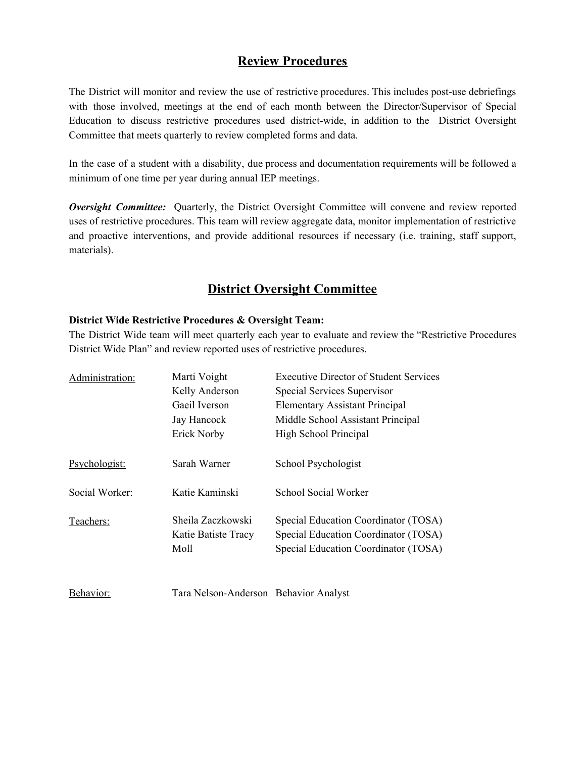## **Review Procedures**

The District will monitor and review the use of restrictive procedures. This includes post-use debriefings with those involved, meetings at the end of each month between the Director/Supervisor of Special Education to discuss restrictive procedures used district-wide, in addition to the District Oversight Committee that meets quarterly to review completed forms and data.

In the case of a student with a disability, due process and documentation requirements will be followed a minimum of one time per year during annual IEP meetings.

<span id="page-9-0"></span>*Oversight Committee:* Quarterly, the District Oversight Committee will convene and review reported uses of restrictive procedures. This team will review aggregate data, monitor implementation of restrictive and proactive interventions, and provide additional resources if necessary (i.e. training, staff support, materials).

## **District Oversight Committee**

#### **District Wide Restrictive Procedures & Oversight Team:**

The District Wide team will meet quarterly each year to evaluate and review the "Restrictive Procedures District Wide Plan" and review reported uses of restrictive procedures.

| Administration: | Marti Voight<br>Kelly Anderson<br>Gaeil Iverson<br>Jay Hancock<br>Erick Norby | Executive Director of Student Services<br>Special Services Supervisor<br><b>Elementary Assistant Principal</b><br>Middle School Assistant Principal<br>High School Principal |
|-----------------|-------------------------------------------------------------------------------|------------------------------------------------------------------------------------------------------------------------------------------------------------------------------|
| Psychologist:   | Sarah Warner                                                                  | School Psychologist                                                                                                                                                          |
| Social Worker:  | Katie Kaminski                                                                | School Social Worker                                                                                                                                                         |
| Teachers:       | Sheila Zaczkowski<br>Katie Batiste Tracy<br>Moll                              | Special Education Coordinator (TOSA)<br>Special Education Coordinator (TOSA)<br>Special Education Coordinator (TOSA)                                                         |

| Behavior: | Tara Nelson-Anderson Behavior Analyst |  |
|-----------|---------------------------------------|--|
|-----------|---------------------------------------|--|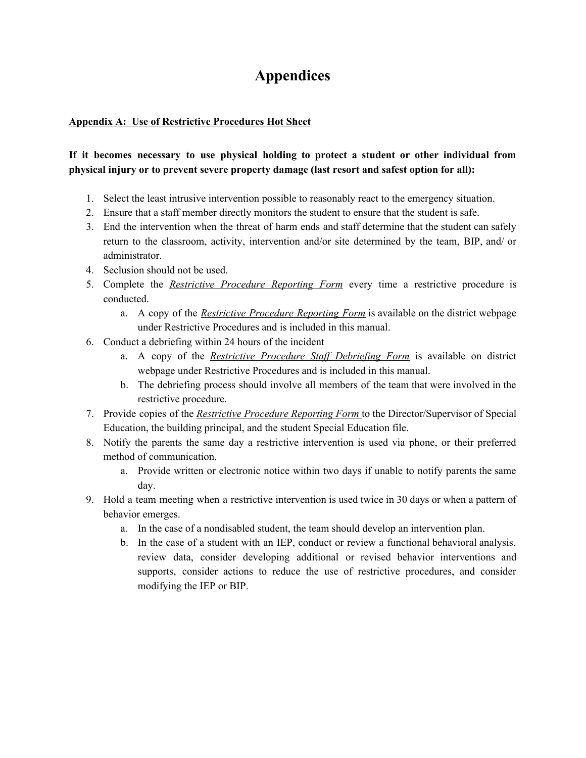## **Appendices**

## <span id="page-10-0"></span>**Appendix A: Use of Restrictive Procedures Hot Sheet**

## **If it becomes necessary to use physical holding to protect a student or other individual from physical injury or to prevent severe property damage (last resort and safest option for all):**

- 1. Select the least intrusive intervention possible to reasonably react to the emergency situation.
- 2. Ensure that a staff member directly monitors the student to ensure that the student is safe.
- 3. End the intervention when the threat of harm ends and staff determine that the student can safely return to the classroom, activity, intervention and/or site determined by the team, BIP, and/ or administrator.
- 4. Seclusion should not be used.
- 5. Complete the *Restrictive Procedure Reporting Form* every time a restrictive procedure is conducted.
	- a. A copy of the *Restrictive Procedure Reporting Form* is available on the district webpage under Restrictive Procedures and is included in this manual.
- 6. Conduct a debriefing within 24 hours of the incident
	- a. A copy of the *Restrictive Procedure Staff Debriefing Form* is available on district webpage under Restrictive Procedures and is included in this manual.
	- b. The debriefing process should involve all members of the team that were involved in the restrictive procedure.
- 7. Provide copies of the *Restrictive Procedure Reporting Form* to the Director/Supervisor of Special Education, the building principal, and the student Special Education file.
- 8. Notify the parents the same day a restrictive intervention is used via phone, or their preferred method of communication.
	- a. Provide written or electronic notice within two days if unable to notify parents the same day.
- 9. Hold a team meeting when a restrictive intervention is used twice in 30 days or when a pattern of behavior emerges.
	- a. In the case of a nondisabled student, the team should develop an intervention plan.
	- b. In the case of a student with an IEP, conduct or review a functional behavioral analysis, review data, consider developing additional or revised behavior interventions and supports, consider actions to reduce the use of restrictive procedures, and consider modifying the IEP or BIP.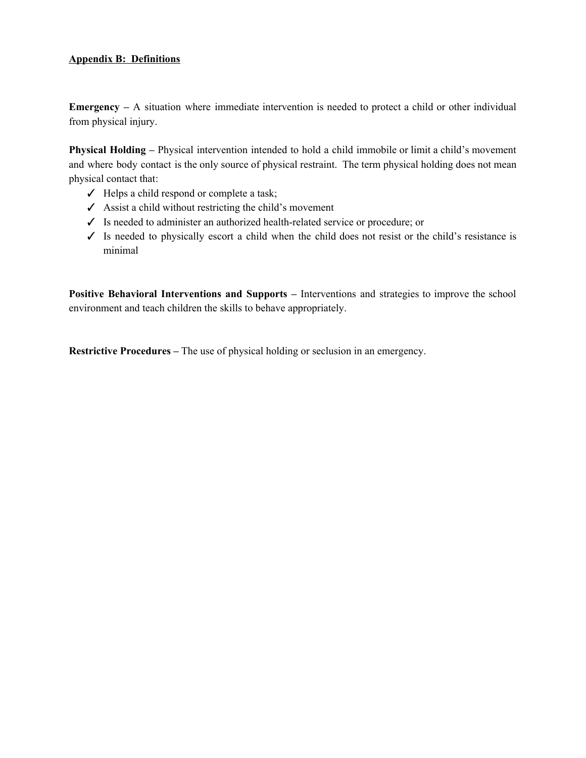#### <span id="page-11-0"></span>**Appendix B: Definitions**

**Emergency –** A situation where immediate intervention is needed to protect a child or other individual from physical injury.

**Physical Holding –** Physical intervention intended to hold a child immobile or limit a child's movement and where body contact is the only source of physical restraint. The term physical holding does not mean physical contact that:

- ✓ Helps a child respond or complete a task;
- $\angle$  Assist a child without restricting the child's movement
- ✓ Is needed to administer an authorized health-related service or procedure; or
- ✓ Is needed to physically escort a child when the child does not resist or the child's resistance is minimal

**Positive Behavioral Interventions and Supports –** Interventions and strategies to improve the school environment and teach children the skills to behave appropriately.

**Restrictive Procedures –** The use of physical holding or seclusion in an emergency.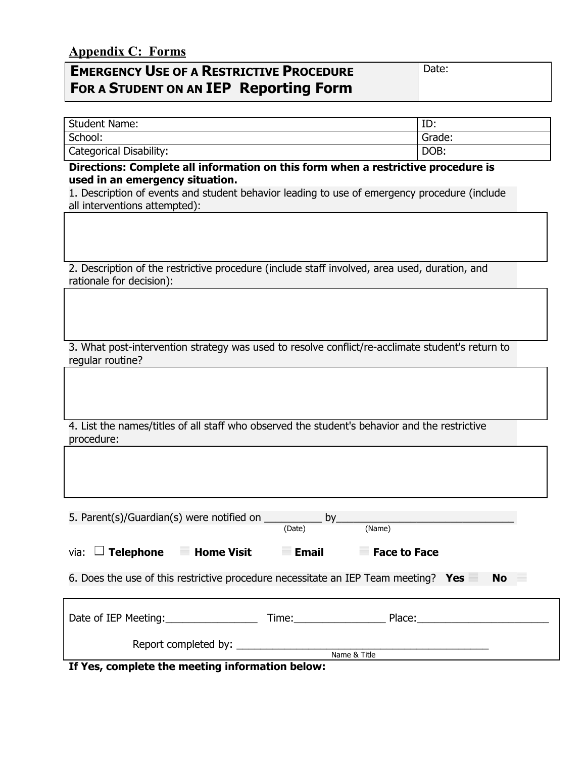## **Appendix C: Forms**

| <b>EMERGENCY USE OF A RESTRICTIVE PROCEDURE</b> | Date: |
|-------------------------------------------------|-------|
| <b>FOR A STUDENT ON AN IEP Reporting Form</b>   |       |

| <b>Student Name:</b>           | ιυ.    |  |
|--------------------------------|--------|--|
| School:                        | Grade: |  |
| <b>Categorical Disability:</b> | DOB:   |  |

**Directions: Complete all information on this form when a restrictive procedure is used in an emergency situation.**

1. Description of events and student behavior leading to use of emergency procedure (include all interventions attempted):

2. Description of the restrictive procedure (include staff involved, area used, duration, and rationale for decision):

3. What post-intervention strategy was used to resolve conflict/re-acclimate student's return to regular routine?

4. List the names/titles of all staff who observed the student's behavior and the restrictive procedure:

| 5. Parent(s)/Guardian(s) were notified on                                                       | by                                                                                                                                                                                                                             |                     |  |  |  |
|-------------------------------------------------------------------------------------------------|--------------------------------------------------------------------------------------------------------------------------------------------------------------------------------------------------------------------------------|---------------------|--|--|--|
|                                                                                                 | (Date)                                                                                                                                                                                                                         | (Name)              |  |  |  |
| via: $\Box$ Telephone<br><b>Home Visit</b>                                                      | <b>Email</b>                                                                                                                                                                                                                   | <b>Face to Face</b> |  |  |  |
| 6. Does the use of this restrictive procedure necessitate an IEP Team meeting? Yes<br><b>No</b> |                                                                                                                                                                                                                                |                     |  |  |  |
|                                                                                                 |                                                                                                                                                                                                                                |                     |  |  |  |
| Date of IEP Meeting:                                                                            | Time: The Second Second Second Second Second Second Second Second Second Second Second Second Second Second Second Second Second Second Second Second Second Second Second Second Second Second Second Second Second Second Se | Place:              |  |  |  |
| Report completed by:                                                                            |                                                                                                                                                                                                                                | Name & Title        |  |  |  |
| - -<br>. .<br>----<br>                                                                          | .                                                                                                                                                                                                                              |                     |  |  |  |

**If Yes, complete the meeting information below:**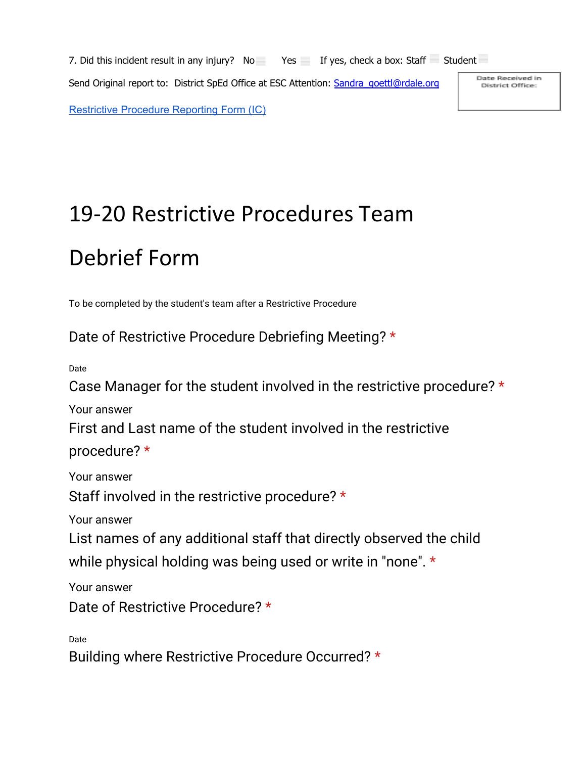7. Did this incident result in any injury? No Yes If yes, check a box: Staff Student Send Original report to: District SpEd Office at ESC Attention: Sandra goettl@rdale.org [Restrictive Procedure Reporting Form \(IC\)](https://docs.google.com/document/d/17VXHbNZ6KBxp5RntHoB_we0ZgPCqr-B8ug-8eBpL09Y/edit?usp=sharing)

Date Received in District Office:

# 19-20 Restrictive Procedures Team Debrief Form

To be completed by the student's team after a Restrictive Procedure

Date of Restrictive Procedure Debriefing Meeting? \*

Date

Case Manager for the student involved in the restrictive procedure? \*

Your answer

First and Last name of the student involved in the restrictive

procedure? \*

Your answer

Staff involved in the restrictive procedure? \*

Your answer

List names of any additional staff that directly observed the child while physical holding was being used or write in "none". \*

Your answer

Date of Restrictive Procedure? \*

Date

Building where Restrictive Procedure Occurred? \*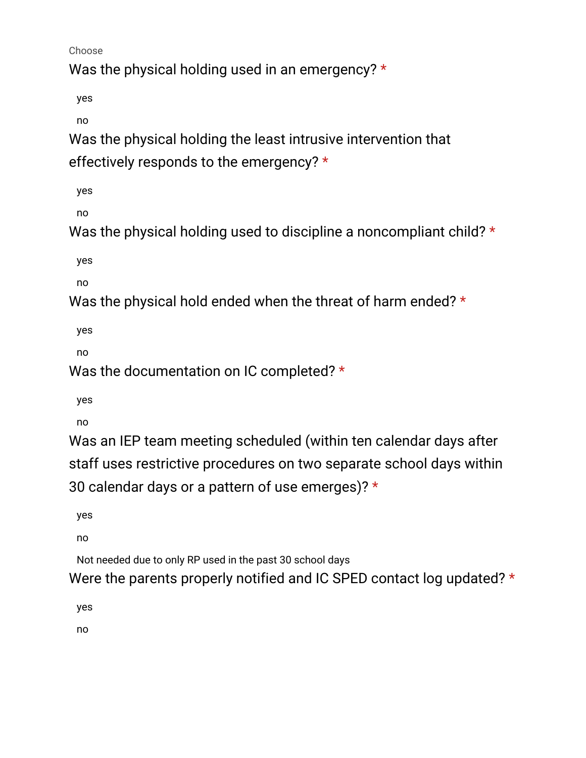Choose

Was the physical holding used in an emergency? \*

yes

no

Was the physical holding the least intrusive intervention that effectively responds to the emergency? \*

yes

no

Was the physical holding used to discipline a noncompliant child? \*

yes

no

Was the physical hold ended when the threat of harm ended? \*

yes

no

Was the documentation on IC completed? \*

yes

no

Was an IEP team meeting scheduled (within ten calendar days after staff uses restrictive procedures on two separate school days within 30 calendar days or a pattern of use emerges)?  $*$ 

yes

no

Not needed due to only RP used in the past 30 school days

Were the parents properly notified and IC SPED contact log updated? \*

yes

no